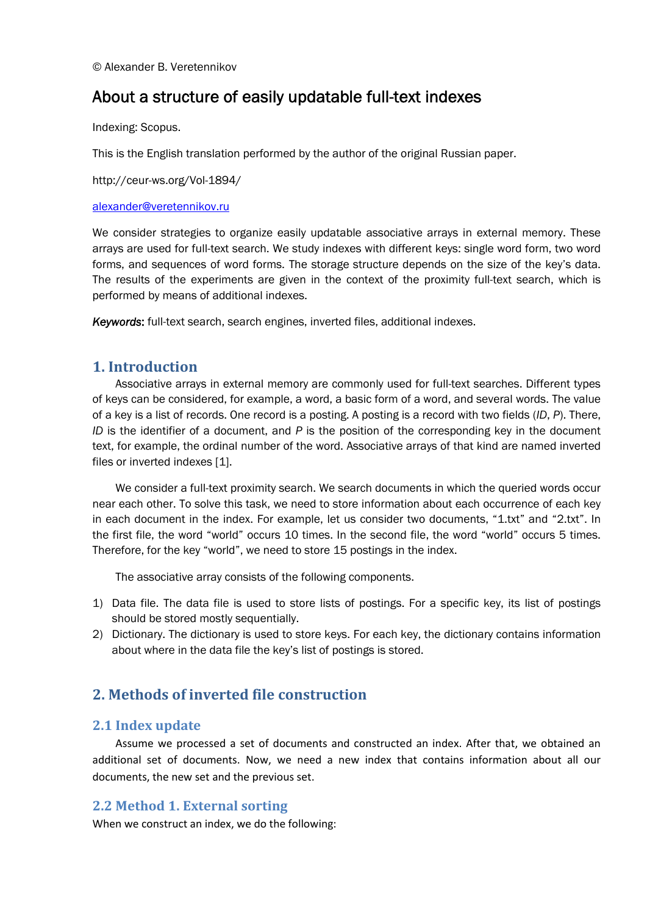© Alexander B. Veretennikov

# About a structure of easily updatable full-text indexes

Indexing: Scopus.

This is the English translation performed by the author of the original Russian paper.

http://ceur-ws.org/Vol-1894/

#### alexander@veretennikov.ru

We consider strategies to organize easily updatable associative arrays in external memory. These arrays are used for full-text search. We study indexes with different keys: single word form, two word forms, and sequences of word forms. The storage structure depends on the size of the key's data. The results of the experiments are given in the context of the proximity full-text search, which is performed by means of additional indexes.

*Keywords*: full-text search, search engines, inverted files, additional indexes.

## 1. Introduction

Associative arrays in external memory are commonly used for full-text searches. Different types of keys can be considered, for example, a word, a basic form of a word, and several words. The value of a key is a list of records. One record is a posting. A posting is a record with two fields (*ID*, *P*). There, *ID* is the identifier of a document, and *P* is the position of the corresponding key in the document text, for example, the ordinal number of the word. Associative arrays of that kind are named inverted files or inverted indexes [1].

We consider a full-text proximity search. We search documents in which the queried words occur near each other. To solve this task, we need to store information about each occurrence of each key in each document in the index. For example, let us consider two documents, "1.txt" and "2.txt". In the first file, the word "world" occurs 10 times. In the second file, the word "world" occurs 5 times. Therefore, for the key "world", we need to store 15 postings in the index.

The associative array consists of the following components.

- 1) Data file. The data file is used to store lists of postings. For a specific key, its list of postings should be stored mostly sequentially.
- 2) Dictionary. The dictionary is used to store keys. For each key, the dictionary contains information about where in the data file the key's list of postings is stored.

# 2. Methods of inverted file construction

## 2.1 Index update

Assume we processed a set of documents and constructed an index. After that, we obtained an additional set of documents. Now, we need a new index that contains information about all our documents, the new set and the previous set.

## 2.2 Method 1. External sorting

When we construct an index, we do the following: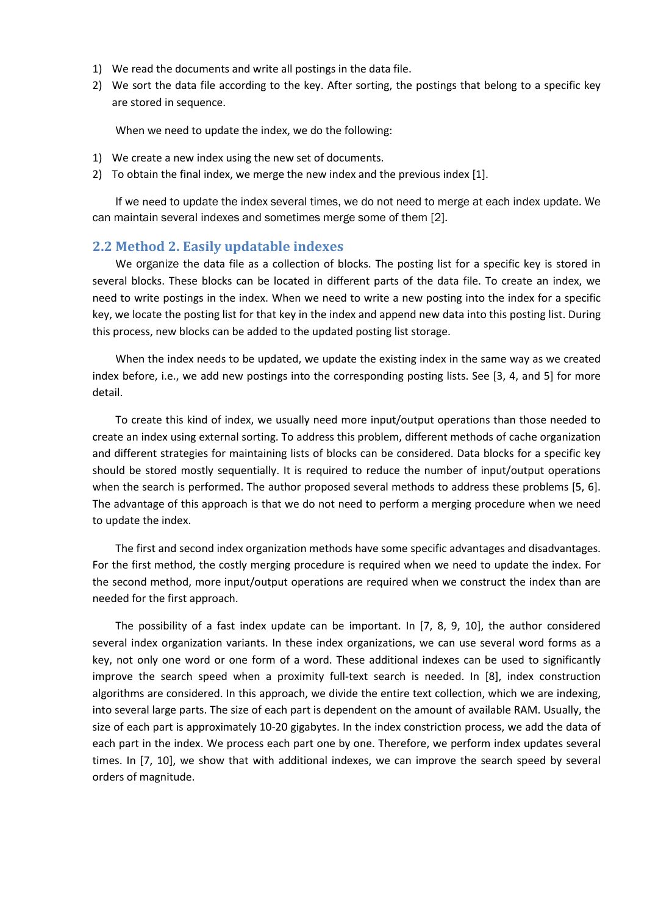- 1) We read the documents and write all postings in the data file.
- 2) We sort the data file according to the key. After sorting, the postings that belong to a specific key are stored in sequence.

When we need to update the index, we do the following:

- 1) We create a new index using the new set of documents.
- 2) To obtain the final index, we merge the new index and the previous index [1].

If we need to update the index several times, we do not need to merge at each index update. We can maintain several indexes and sometimes merge some of them [2].

#### 2.2 Method 2. Easily updatable indexes

We organize the data file as a collection of blocks. The posting list for a specific key is stored in several blocks. These blocks can be located in different parts of the data file. To create an index, we need to write postings in the index. When we need to write a new posting into the index for a specific key, we locate the posting list for that key in the index and append new data into this posting list. During this process, new blocks can be added to the updated posting list storage.

When the index needs to be updated, we update the existing index in the same way as we created index before, i.e., we add new postings into the corresponding posting lists. See [3, 4, and 5] for more detail.

To create this kind of index, we usually need more input/output operations than those needed to create an index using external sorting. To address this problem, different methods of cache organization and different strategies for maintaining lists of blocks can be considered. Data blocks for a specific key should be stored mostly sequentially. It is required to reduce the number of input/output operations when the search is performed. The author proposed several methods to address these problems [5, 6]. The advantage of this approach is that we do not need to perform a merging procedure when we need to update the index.

The first and second index organization methods have some specific advantages and disadvantages. For the first method, the costly merging procedure is required when we need to update the index. For the second method, more input/output operations are required when we construct the index than are needed for the first approach.

The possibility of a fast index update can be important. In [7, 8, 9, 10], the author considered several index organization variants. In these index organizations, we can use several word forms as a key, not only one word or one form of a word. These additional indexes can be used to significantly improve the search speed when a proximity full-text search is needed. In [8], index construction algorithms are considered. In this approach, we divide the entire text collection, which we are indexing, into several large parts. The size of each part is dependent on the amount of available RAM. Usually, the size of each part is approximately 10-20 gigabytes. In the index constriction process, we add the data of each part in the index. We process each part one by one. Therefore, we perform index updates several times. In [7, 10], we show that with additional indexes, we can improve the search speed by several orders of magnitude.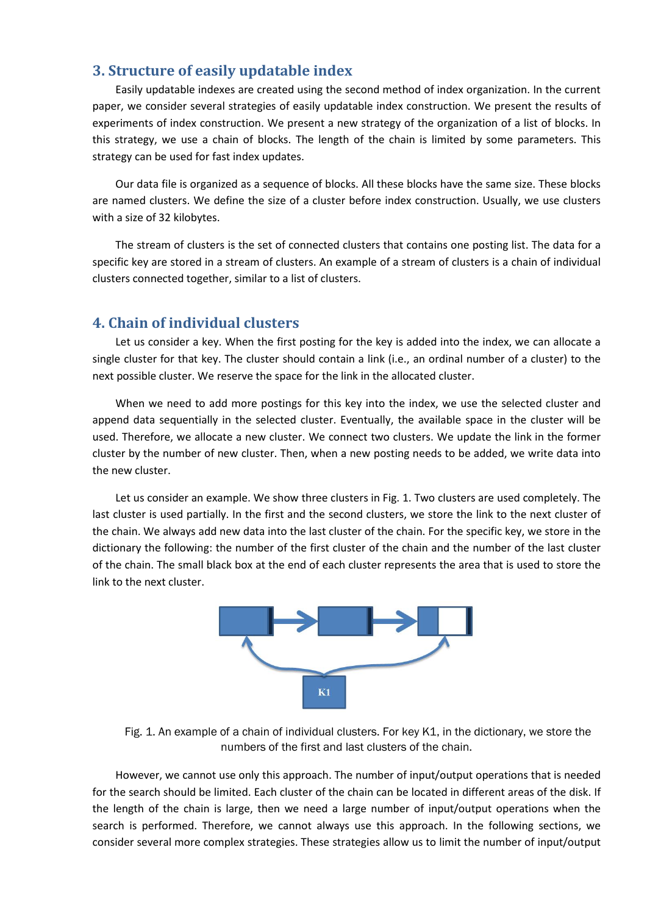# 3. Structure of easily updatable index

Easily updatable indexes are created using the second method of index organization. In the current paper, we consider several strategies of easily updatable index construction. We present the results of experiments of index construction. We present a new strategy of the organization of a list of blocks. In this strategy, we use a chain of blocks. The length of the chain is limited by some parameters. This strategy can be used for fast index updates.

Our data file is organized as a sequence of blocks. All these blocks have the same size. These blocks are named clusters. We define the size of a cluster before index construction. Usually, we use clusters with a size of 32 kilobytes.

The stream of clusters is the set of connected clusters that contains one posting list. The data for a specific key are stored in a stream of clusters. An example of a stream of clusters is a chain of individual clusters connected together, similar to a list of clusters.

## 4. Chain of individual clusters

Let us consider a key. When the first posting for the key is added into the index, we can allocate a single cluster for that key. The cluster should contain a link (i.e., an ordinal number of a cluster) to the next possible cluster. We reserve the space for the link in the allocated cluster.

When we need to add more postings for this key into the index, we use the selected cluster and append data sequentially in the selected cluster. Eventually, the available space in the cluster will be used. Therefore, we allocate a new cluster. We connect two clusters. We update the link in the former cluster by the number of new cluster. Then, when a new posting needs to be added, we write data into the new cluster.

Let us consider an example. We show three clusters in Fig. 1. Two clusters are used completely. The last cluster is used partially. In the first and the second clusters, we store the link to the next cluster of the chain. We always add new data into the last cluster of the chain. For the specific key, we store in the dictionary the following: the number of the first cluster of the chain and the number of the last cluster of the chain. The small black box at the end of each cluster represents the area that is used to store the link to the next cluster.



Fig. 1. An example of a chain of individual clusters. For key K1, in the dictionary, we store the numbers of the first and last clusters of the chain.

However, we cannot use only this approach. The number of input/output operations that is needed for the search should be limited. Each cluster of the chain can be located in different areas of the disk. If the length of the chain is large, then we need a large number of input/output operations when the search is performed. Therefore, we cannot always use this approach. In the following sections, we consider several more complex strategies. These strategies allow us to limit the number of input/output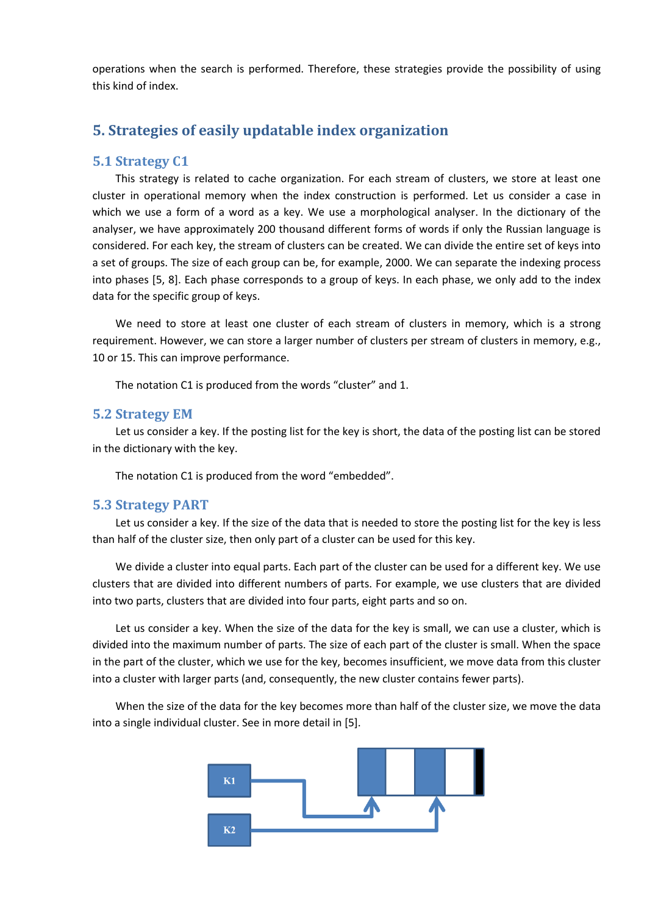operations when the search is performed. Therefore, these strategies provide the possibility of using this kind of index.

# 5. Strategies of easily updatable index organization

### 5.1 Strategy C1

This strategy is related to cache organization. For each stream of clusters, we store at least one cluster in operational memory when the index construction is performed. Let us consider a case in which we use a form of a word as a key. We use a morphological analyser. In the dictionary of the analyser, we have approximately 200 thousand different forms of words if only the Russian language is considered. For each key, the stream of clusters can be created. We can divide the entire set of keys into a set of groups. The size of each group can be, for example, 2000. We can separate the indexing process into phases [5, 8]. Each phase corresponds to a group of keys. In each phase, we only add to the index data for the specific group of keys.

We need to store at least one cluster of each stream of clusters in memory, which is a strong requirement. However, we can store a larger number of clusters per stream of clusters in memory, e.g., 10 or 15. This can improve performance.

The notation C1 is produced from the words "cluster" and 1.

### 5.2 Strategy EM

Let us consider a key. If the posting list for the key is short, the data of the posting list can be stored in the dictionary with the key.

The notation C1 is produced from the word "embedded".

#### 5.3 Strategy PART

Let us consider a key. If the size of the data that is needed to store the posting list for the key is less than half of the cluster size, then only part of a cluster can be used for this key.

We divide a cluster into equal parts. Each part of the cluster can be used for a different key. We use clusters that are divided into different numbers of parts. For example, we use clusters that are divided into two parts, clusters that are divided into four parts, eight parts and so on.

Let us consider a key. When the size of the data for the key is small, we can use a cluster, which is divided into the maximum number of parts. The size of each part of the cluster is small. When the space in the part of the cluster, which we use for the key, becomes insufficient, we move data from this cluster into a cluster with larger parts (and, consequently, the new cluster contains fewer parts).

When the size of the data for the key becomes more than half of the cluster size, we move the data into a single individual cluster. See in more detail in [5].

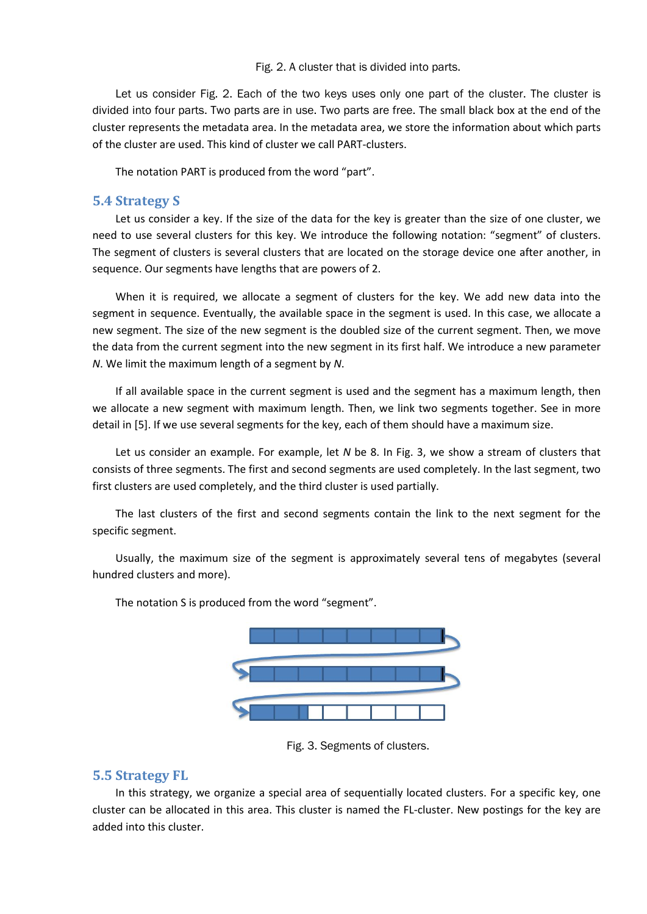#### Fig. 2. A cluster that is divided into parts.

Let us consider Fig. 2. Each of the two keys uses only one part of the cluster. The cluster is divided into four parts. Two parts are in use. Two parts are free. The small black box at the end of the cluster represents the metadata area. In the metadata area, we store the information about which parts of the cluster are used. This kind of cluster we call PART-clusters.

The notation PART is produced from the word "part".

### 5.4 Strategy S

Let us consider a key. If the size of the data for the key is greater than the size of one cluster, we need to use several clusters for this key. We introduce the following notation: "segment" of clusters. The segment of clusters is several clusters that are located on the storage device one after another, in sequence. Our segments have lengths that are powers of 2.

When it is required, we allocate a segment of clusters for the key. We add new data into the segment in sequence. Eventually, the available space in the segment is used. In this case, we allocate a new segment. The size of the new segment is the doubled size of the current segment. Then, we move the data from the current segment into the new segment in its first half. We introduce a new parameter *N*. We limit the maximum length of a segment by *N*.

If all available space in the current segment is used and the segment has a maximum length, then we allocate a new segment with maximum length. Then, we link two segments together. See in more detail in [5]. If we use several segments for the key, each of them should have a maximum size.

Let us consider an example. For example, let *N* be 8. In Fig. 3, we show a stream of clusters that consists of three segments. The first and second segments are used completely. In the last segment, two first clusters are used completely, and the third cluster is used partially.

The last clusters of the first and second segments contain the link to the next segment for the specific segment.

Usually, the maximum size of the segment is approximately several tens of megabytes (several hundred clusters and more).



The notation S is produced from the word "segment".

Fig. 3. Segments of clusters.

### 5.5 Strategy FL

In this strategy, we organize a special area of sequentially located clusters. For a specific key, one cluster can be allocated in this area. This cluster is named the FL-cluster. New postings for the key are added into this cluster.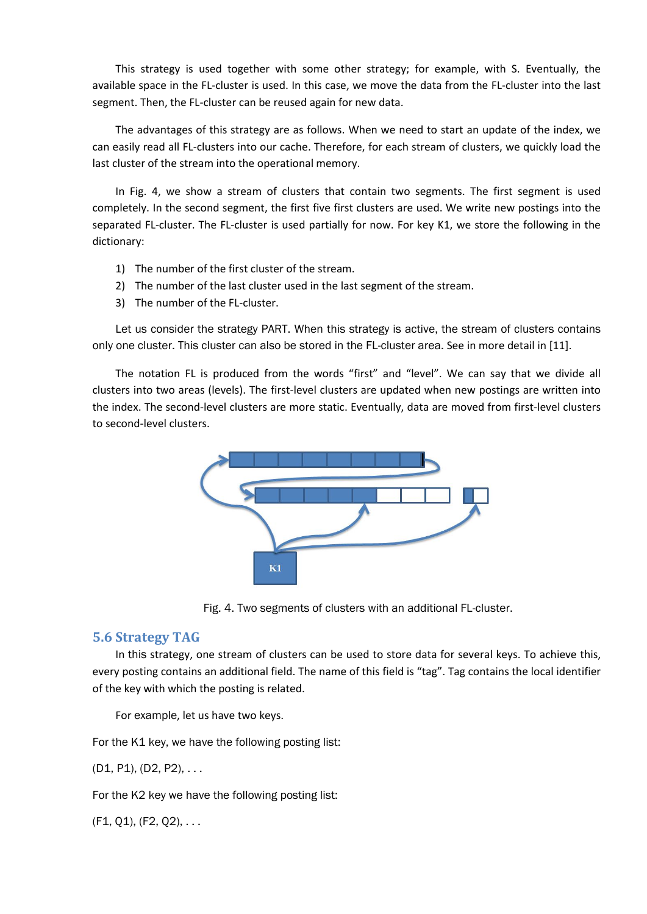This strategy is used together with some other strategy; for example, with S. Eventually, the available space in the FL-cluster is used. In this case, we move the data from the FL-cluster into the last segment. Then, the FL-cluster can be reused again for new data.

The advantages of this strategy are as follows. When we need to start an update of the index, we can easily read all FL-clusters into our cache. Therefore, for each stream of clusters, we quickly load the last cluster of the stream into the operational memory.

In Fig. 4, we show a stream of clusters that contain two segments. The first segment is used completely. In the second segment, the first five first clusters are used. We write new postings into the separated FL-cluster. The FL-cluster is used partially for now. For key K1, we store the following in the dictionary:

- 1) The number of the first cluster of the stream.
- 2) The number of the last cluster used in the last segment of the stream.
- 3) The number of the FL-cluster.

Let us consider the strategy PART. When this strategy is active, the stream of clusters contains only one cluster. This cluster can also be stored in the FL-cluster area. See in more detail in [11].

The notation FL is produced from the words "first" and "level". We can say that we divide all clusters into two areas (levels). The first-level clusters are updated when new postings are written into the index. The second-level clusters are more static. Eventually, data are moved from first-level clusters to second-level clusters.



Fig. 4. Two segments of clusters with an additional FL-cluster.

## 5.6 Strategy TAG

In this strategy, one stream of clusters can be used to store data for several keys. To achieve this, every posting contains an additional field. The name of this field is "tag". Tag contains the local identifier of the key with which the posting is related.

For example, let us have two keys.

For the K1 key, we have the following posting list:

(D1, P1), (D2, P2), . . .

For the K2 key we have the following posting list:

 $(F1, Q1)$ ,  $(F2, Q2)$ , ...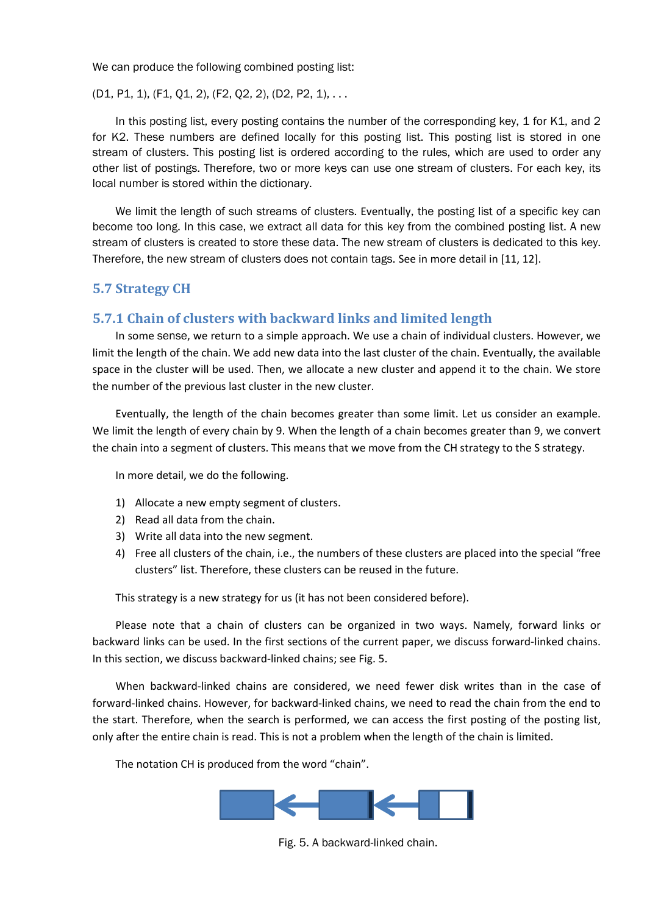We can produce the following combined posting list:

(D1, P1, 1), (F1, Q1, 2), (F2, Q2, 2), (D2, P2, 1), . . .

In this posting list, every posting contains the number of the corresponding key, 1 for K1, and 2 for K2. These numbers are defined locally for this posting list. This posting list is stored in one stream of clusters. This posting list is ordered according to the rules, which are used to order any other list of postings. Therefore, two or more keys can use one stream of clusters. For each key, its local number is stored within the dictionary.

We limit the length of such streams of clusters. Eventually, the posting list of a specific key can become too long. In this case, we extract all data for this key from the combined posting list. A new stream of clusters is created to store these data. The new stream of clusters is dedicated to this key. Therefore, the new stream of clusters does not contain tags. See in more detail in [11, 12].

### 5.7 Strategy CH

### 5.7.1 Chain of clusters with backward links and limited length

In some sense, we return to a simple approach. We use a chain of individual clusters. However, we limit the length of the chain. We add new data into the last cluster of the chain. Eventually, the available space in the cluster will be used. Then, we allocate a new cluster and append it to the chain. We store the number of the previous last cluster in the new cluster.

Eventually, the length of the chain becomes greater than some limit. Let us consider an example. We limit the length of every chain by 9. When the length of a chain becomes greater than 9, we convert the chain into a segment of clusters. This means that we move from the CH strategy to the S strategy.

In more detail, we do the following.

- 1) Allocate a new empty segment of clusters.
- 2) Read all data from the chain.
- 3) Write all data into the new segment.
- 4) Free all clusters of the chain, i.e., the numbers of these clusters are placed into the special "free clusters" list. Therefore, these clusters can be reused in the future.

This strategy is a new strategy for us (it has not been considered before).

Please note that a chain of clusters can be organized in two ways. Namely, forward links or backward links can be used. In the first sections of the current paper, we discuss forward-linked chains. In this section, we discuss backward-linked chains; see Fig. 5.

When backward-linked chains are considered, we need fewer disk writes than in the case of forward-linked chains. However, for backward-linked chains, we need to read the chain from the end to the start. Therefore, when the search is performed, we can access the first posting of the posting list, only after the entire chain is read. This is not a problem when the length of the chain is limited.

The notation CH is produced from the word "chain".



Fig. 5. A backward-linked chain.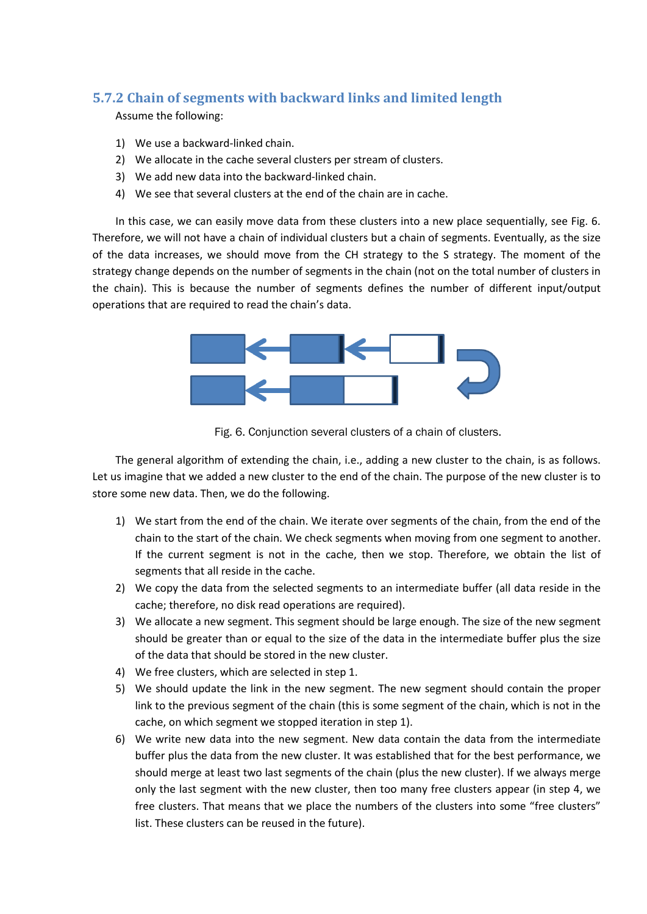# 5.7.2 Chain of segments with backward links and limited length

Assume the following:

- 1) We use a backward-linked chain.
- 2) We allocate in the cache several clusters per stream of clusters.
- 3) We add new data into the backward-linked chain.
- 4) We see that several clusters at the end of the chain are in cache.

In this case, we can easily move data from these clusters into a new place sequentially, see Fig. 6. Therefore, we will not have a chain of individual clusters but a chain of segments. Eventually, as the size of the data increases, we should move from the CH strategy to the S strategy. The moment of the strategy change depends on the number of segments in the chain (not on the total number of clusters in the chain). This is because the number of segments defines the number of different input/output operations that are required to read the chain's data.



Fig. 6. Conjunction several clusters of a chain of clusters.

The general algorithm of extending the chain, i.e., adding a new cluster to the chain, is as follows. Let us imagine that we added a new cluster to the end of the chain. The purpose of the new cluster is to store some new data. Then, we do the following.

- 1) We start from the end of the chain. We iterate over segments of the chain, from the end of the chain to the start of the chain. We check segments when moving from one segment to another. If the current segment is not in the cache, then we stop. Therefore, we obtain the list of segments that all reside in the cache.
- 2) We copy the data from the selected segments to an intermediate buffer (all data reside in the cache; therefore, no disk read operations are required).
- 3) We allocate a new segment. This segment should be large enough. The size of the new segment should be greater than or equal to the size of the data in the intermediate buffer plus the size of the data that should be stored in the new cluster.
- 4) We free clusters, which are selected in step 1.
- 5) We should update the link in the new segment. The new segment should contain the proper link to the previous segment of the chain (this is some segment of the chain, which is not in the cache, on which segment we stopped iteration in step 1).
- 6) We write new data into the new segment. New data contain the data from the intermediate buffer plus the data from the new cluster. It was established that for the best performance, we should merge at least two last segments of the chain (plus the new cluster). If we always merge only the last segment with the new cluster, then too many free clusters appear (in step 4, we free clusters. That means that we place the numbers of the clusters into some "free clusters" list. These clusters can be reused in the future).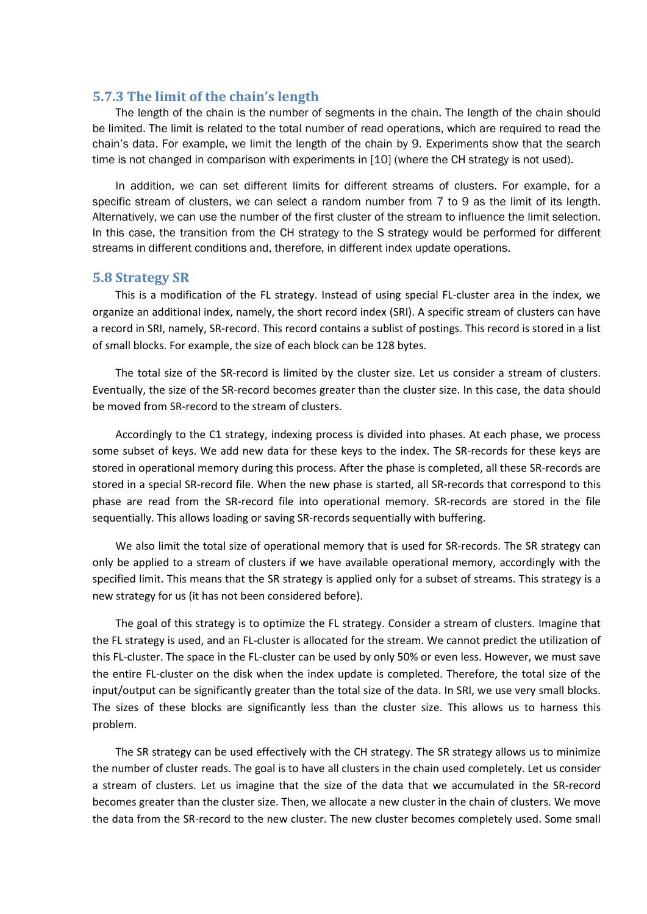### 5.7.3 The limit of the chain's length

The length of the chain is the number of segments in the chain. The length of the chain should be limited. The limit is related to the total number of read operations, which are required to read the chain's data. For example, we limit the length of the chain by 9. Experiments show that the search time is not changed in comparison with experiments in [10] (where the CH strategy is not used).

In addition, we can set different limits for different streams of clusters. For example, for a specific stream of clusters, we can select a random number from 7 to 9 as the limit of its length. Alternatively, we can use the number of the first cluster of the stream to influence the limit selection. In this case, the transition from the CH strategy to the S strategy would be performed for different streams in different conditions and, therefore, in different index update operations.

### 5.8 Strategy SR

This is a modification of the FL strategy. Instead of using special FL-cluster area in the index, we organize an additional index, namely, the short record index (SRI). A specific stream of clusters can have a record in SRI, namely, SR-record. This record contains a sublist of postings. This record is stored in a list of small blocks. For example, the size of each block can be 128 bytes.

The total size of the SR-record is limited by the cluster size. Let us consider a stream of clusters. Eventually, the size of the SR-record becomes greater than the cluster size. In this case, the data should be moved from SR-record to the stream of clusters.

Accordingly to the C1 strategy, indexing process is divided into phases. At each phase, we process some subset of keys. We add new data for these keys to the index. The SR-records for these keys are stored in operational memory during this process. After the phase is completed, all these SR-records are stored in a special SR-record file. When the new phase is started, all SR-records that correspond to this phase are read from the SR-record file into operational memory. SR-records are stored in the file sequentially. This allows loading or saving SR-records sequentially with buffering.

We also limit the total size of operational memory that is used for SR-records. The SR strategy can only be applied to a stream of clusters if we have available operational memory, accordingly with the specified limit. This means that the SR strategy is applied only for a subset of streams. This strategy is a new strategy for us (it has not been considered before).

The goal of this strategy is to optimize the FL strategy. Consider a stream of clusters. Imagine that the FL strategy is used, and an FL-cluster is allocated for the stream. We cannot predict the utilization of this FL-cluster. The space in the FL-cluster can be used by only 50% or even less. However, we must save the entire FL-cluster on the disk when the index update is completed. Therefore, the total size of the input/output can be significantly greater than the total size of the data. In SRI, we use very small blocks. The sizes of these blocks are significantly less than the cluster size. This allows us to harness this problem.

The SR strategy can be used effectively with the CH strategy. The SR strategy allows us to minimize the number of cluster reads. The goal is to have all clusters in the chain used completely. Let us consider a stream of clusters. Let us imagine that the size of the data that we accumulated in the SR-record becomes greater than the cluster size. Then, we allocate a new cluster in the chain of clusters. We move the data from the SR-record to the new cluster. The new cluster becomes completely used. Some small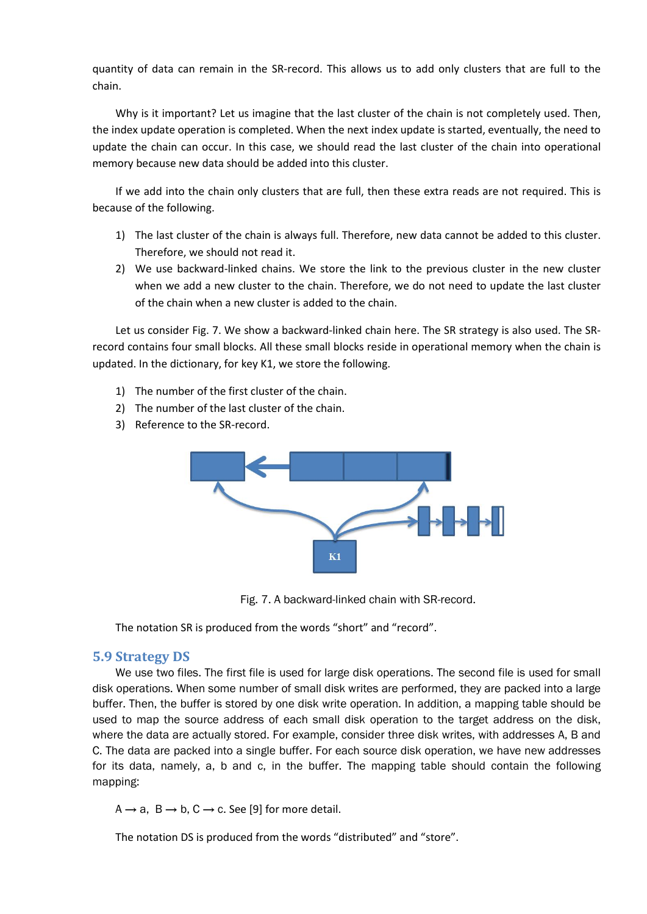quantity of data can remain in the SR-record. This allows us to add only clusters that are full to the chain.

Why is it important? Let us imagine that the last cluster of the chain is not completely used. Then, the index update operation is completed. When the next index update is started, eventually, the need to update the chain can occur. In this case, we should read the last cluster of the chain into operational memory because new data should be added into this cluster.

If we add into the chain only clusters that are full, then these extra reads are not required. This is because of the following.

- 1) The last cluster of the chain is always full. Therefore, new data cannot be added to this cluster. Therefore, we should not read it.
- 2) We use backward-linked chains. We store the link to the previous cluster in the new cluster when we add a new cluster to the chain. Therefore, we do not need to update the last cluster of the chain when a new cluster is added to the chain.

Let us consider Fig. 7. We show a backward-linked chain here. The SR strategy is also used. The SRrecord contains four small blocks. All these small blocks reside in operational memory when the chain is updated. In the dictionary, for key K1, we store the following.

- 1) The number of the first cluster of the chain.
- 2) The number of the last cluster of the chain.
- 3) Reference to the SR-record.



Fig. 7. A backward-linked chain with SR-record.

The notation SR is produced from the words "short" and "record".

## 5.9 Strategy DS

We use two files. The first file is used for large disk operations. The second file is used for small disk operations. When some number of small disk writes are performed, they are packed into a large buffer. Then, the buffer is stored by one disk write operation. In addition, a mapping table should be used to map the source address of each small disk operation to the target address on the disk, where the data are actually stored. For example, consider three disk writes, with addresses A, B and C. The data are packed into a single buffer. For each source disk operation, we have new addresses for its data, namely, a, b and c, in the buffer. The mapping table should contain the following mapping:

 $A \rightarrow a$ ,  $B \rightarrow b$ ,  $C \rightarrow c$ . See [9] for more detail.

The notation DS is produced from the words "distributed" and "store".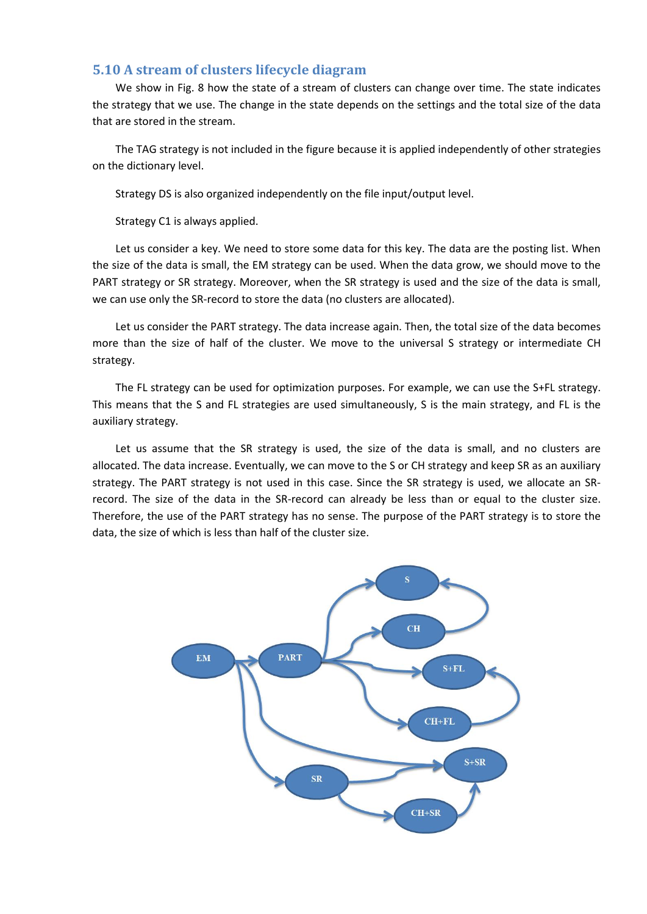## 5.10 A stream of clusters lifecycle diagram

We show in Fig. 8 how the state of a stream of clusters can change over time. The state indicates the strategy that we use. The change in the state depends on the settings and the total size of the data that are stored in the stream.

The TAG strategy is not included in the figure because it is applied independently of other strategies on the dictionary level.

Strategy DS is also organized independently on the file input/output level.

Strategy C1 is always applied.

Let us consider a key. We need to store some data for this key. The data are the posting list. When the size of the data is small, the EM strategy can be used. When the data grow, we should move to the PART strategy or SR strategy. Moreover, when the SR strategy is used and the size of the data is small, we can use only the SR-record to store the data (no clusters are allocated).

Let us consider the PART strategy. The data increase again. Then, the total size of the data becomes more than the size of half of the cluster. We move to the universal S strategy or intermediate CH strategy.

The FL strategy can be used for optimization purposes. For example, we can use the S+FL strategy. This means that the S and FL strategies are used simultaneously, S is the main strategy, and FL is the auxiliary strategy.

Let us assume that the SR strategy is used, the size of the data is small, and no clusters are allocated. The data increase. Eventually, we can move to the S or CH strategy and keep SR as an auxiliary strategy. The PART strategy is not used in this case. Since the SR strategy is used, we allocate an SRrecord. The size of the data in the SR-record can already be less than or equal to the cluster size. Therefore, the use of the PART strategy has no sense. The purpose of the PART strategy is to store the data, the size of which is less than half of the cluster size.

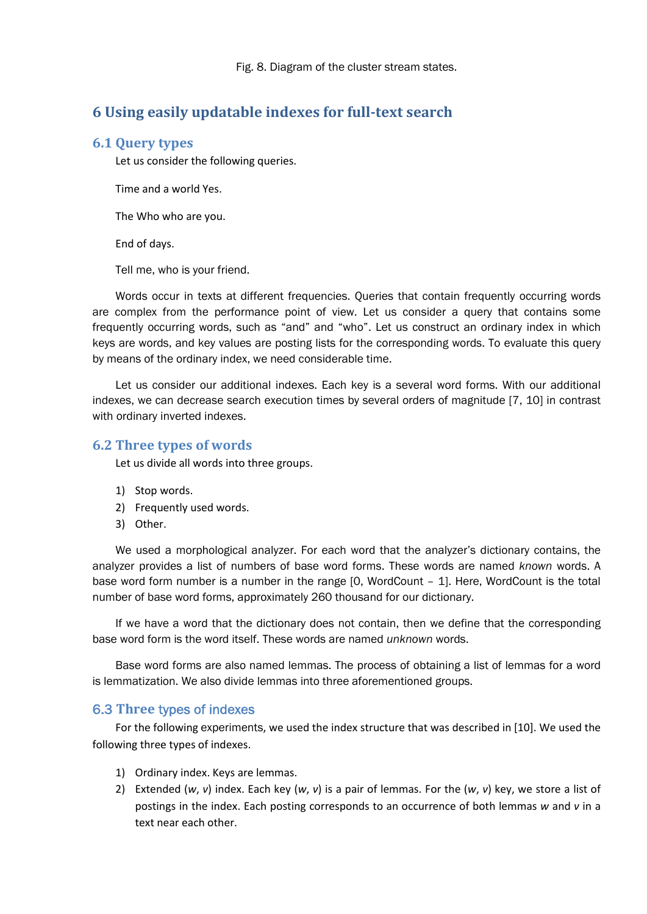# 6 Using easily updatable indexes for full-text search

### 6.1 Query types

Let us consider the following queries.

Time and a world Yes.

The Who who are you.

End of days.

Tell me, who is your friend.

Words occur in texts at different frequencies. Queries that contain frequently occurring words are complex from the performance point of view. Let us consider a query that contains some frequently occurring words, such as "and" and "who". Let us construct an ordinary index in which keys are words, and key values are posting lists for the corresponding words. To evaluate this query by means of the ordinary index, we need considerable time.

Let us consider our additional indexes. Each key is a several word forms. With our additional indexes, we can decrease search execution times by several orders of magnitude [7, 10] in contrast with ordinary inverted indexes.

## 6.2 Three types of words

Let us divide all words into three groups.

- 1) Stop words.
- 2) Frequently used words.
- 3) Other.

We used a morphological analyzer. For each word that the analyzer's dictionary contains, the analyzer provides a list of numbers of base word forms. These words are named *known* words. A base word form number is a number in the range [0, WordCount – 1]. Here, WordCount is the total number of base word forms, approximately 260 thousand for our dictionary.

If we have a word that the dictionary does not contain, then we define that the corresponding base word form is the word itself. These words are named *unknown* words.

Base word forms are also named lemmas. The process of obtaining a list of lemmas for a word is lemmatization. We also divide lemmas into three aforementioned groups.

## 6.3 Three types of indexes

For the following experiments, we used the index structure that was described in [10]. We used the following three types of indexes.

- 1) Ordinary index. Keys are lemmas.
- 2) Extended (*w*, *v*) index. Each key (*w*, *v*) is a pair of lemmas. For the (*w*, *v*) key, we store a list of postings in the index. Each posting corresponds to an occurrence of both lemmas *w* and *v* in a text near each other.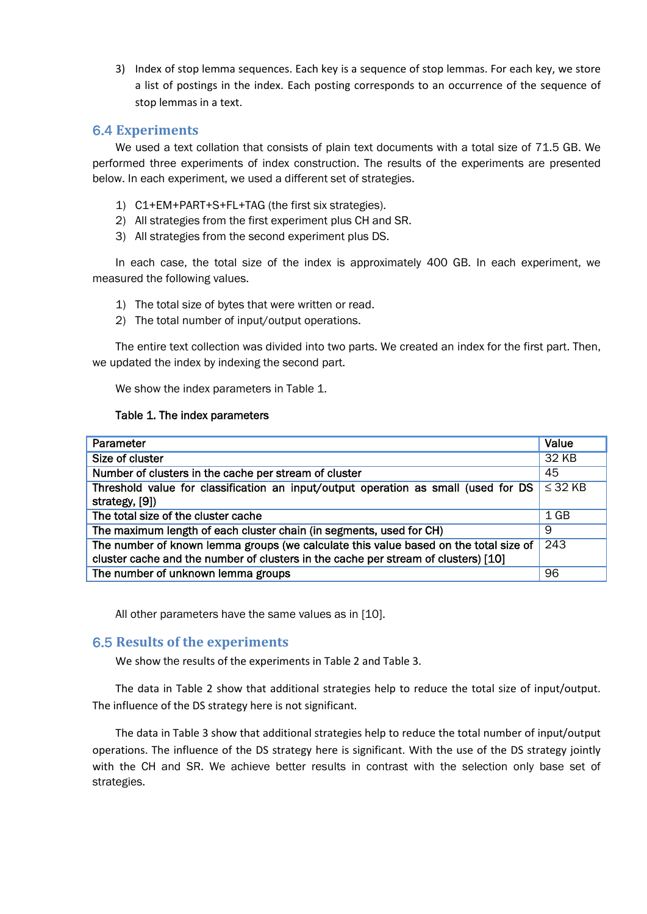3) Index of stop lemma sequences. Each key is a sequence of stop lemmas. For each key, we store a list of postings in the index. Each posting corresponds to an occurrence of the sequence of stop lemmas in a text.

## 6.4 Experiments

We used a text collation that consists of plain text documents with a total size of 71.5 GB. We performed three experiments of index construction. The results of the experiments are presented below. In each experiment, we used a different set of strategies.

- 1) C1+EM+PART+S+FL+TAG (the first six strategies).
- 2) All strategies from the first experiment plus CH and SR.
- 3) All strategies from the second experiment plus DS.

In each case, the total size of the index is approximately 400 GB. In each experiment, we measured the following values.

- 1) The total size of bytes that were written or read.
- 2) The total number of input/output operations.

The entire text collection was divided into two parts. We created an index for the first part. Then, we updated the index by indexing the second part.

We show the index parameters in Table 1.

### Table 1. The index parameters

| Parameter                                                                            | Value        |
|--------------------------------------------------------------------------------------|--------------|
| Size of cluster                                                                      | 32 KB        |
| Number of clusters in the cache per stream of cluster                                | 45           |
| Threshold value for classification an input/output operation as small (used for DS   | $\leq$ 32 KB |
| strategy, [9])                                                                       |              |
| The total size of the cluster cache                                                  | 1 GB         |
| The maximum length of each cluster chain (in segments, used for CH)                  | 9            |
| The number of known lemma groups (we calculate this value based on the total size of | 243          |
| cluster cache and the number of clusters in the cache per stream of clusters) [10]   |              |
| The number of unknown lemma groups                                                   | 96           |

All other parameters have the same values as in [10].

## 6.5 Results of the experiments

We show the results of the experiments in Table 2 and Table 3.

The data in Table 2 show that additional strategies help to reduce the total size of input/output. The influence of the DS strategy here is not significant.

The data in Table 3 show that additional strategies help to reduce the total number of input/output operations. The influence of the DS strategy here is significant. With the use of the DS strategy jointly with the CH and SR. We achieve better results in contrast with the selection only base set of strategies.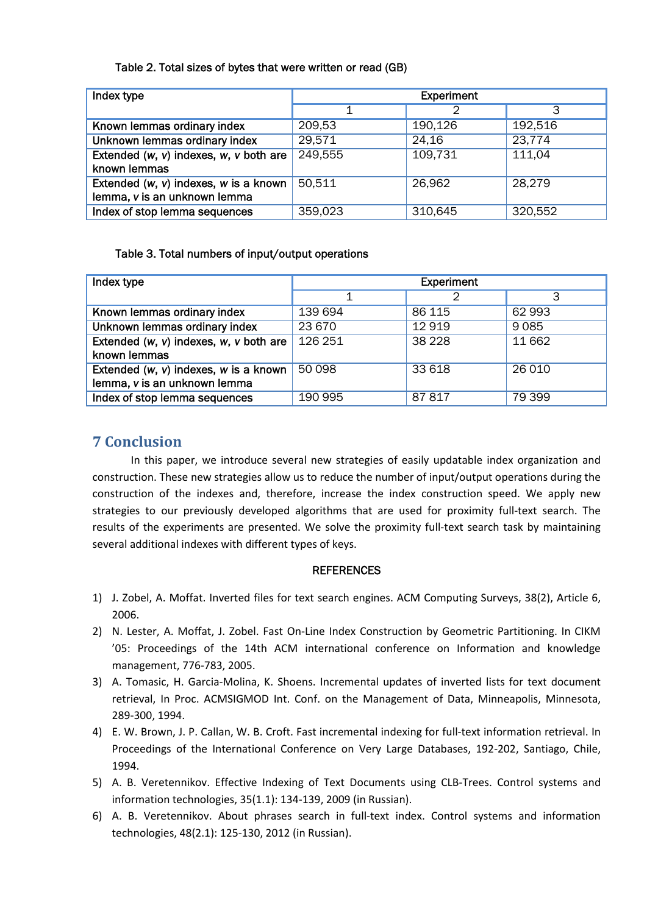### Table 2. Total sizes of bytes that were written or read (GB)

| Index type                             | <b>Experiment</b> |         |         |  |
|----------------------------------------|-------------------|---------|---------|--|
|                                        |                   | າ       | З       |  |
| Known lemmas ordinary index            | 209,53            | 190,126 | 192,516 |  |
| Unknown lemmas ordinary index          | 29,571            | 24,16   | 23,774  |  |
| Extended (w, v) indexes, w, v both are | 249,555           | 109,731 | 111,04  |  |
| known lemmas                           |                   |         |         |  |
| Extended (w, v) indexes, w is a known  | 50,511            | 26,962  | 28,279  |  |
| lemma, v is an unknown lemma           |                   |         |         |  |
| Index of stop lemma sequences          | 359,023           | 310,645 | 320,552 |  |

## Table 3. Total numbers of input/output operations

| Index type                             | <b>Experiment</b> |         |         |  |
|----------------------------------------|-------------------|---------|---------|--|
|                                        |                   | າ       | 3       |  |
| Known lemmas ordinary index            | 139 694           | 86 115  | 62993   |  |
| Unknown lemmas ordinary index          | 23 670            | 12919   | 9085    |  |
| Extended (w, v) indexes, w, v both are | 126 251           | 38 2 28 | 11 6 62 |  |
| known lemmas                           |                   |         |         |  |
| Extended (w, v) indexes, w is a known  | 50098             | 33 6 18 | 26 0 10 |  |
| lemma, v is an unknown lemma           |                   |         |         |  |
| Index of stop lemma sequences          | 190 995           | 87817   | 79 399  |  |

## 7 Conclusion

In this paper, we introduce several new strategies of easily updatable index organization and construction. These new strategies allow us to reduce the number of input/output operations during the construction of the indexes and, therefore, increase the index construction speed. We apply new strategies to our previously developed algorithms that are used for proximity full-text search. The results of the experiments are presented. We solve the proximity full-text search task by maintaining several additional indexes with different types of keys.

## **REFERENCES**

- 1) J. Zobel, A. Moffat. Inverted files for text search engines. ACM Computing Surveys, 38(2), Article 6, 2006.
- 2) N. Lester, A. Moffat, J. Zobel. Fast On-Line Index Construction by Geometric Partitioning. In CIKM '05: Proceedings of the 14th ACM international conference on Information and knowledge management, 776-783, 2005.
- 3) A. Tomasic, H. Garcia-Molina, K. Shoens. Incremental updates of inverted lists for text document retrieval, In Proc. ACMSIGMOD Int. Conf. on the Management of Data, Minneapolis, Minnesota, 289-300, 1994.
- 4) E. W. Brown, J. P. Callan, W. B. Croft. Fast incremental indexing for full-text information retrieval. In Proceedings of the International Conference on Very Large Databases, 192-202, Santiago, Chile, 1994.
- 5) A. B. Veretennikov. Effective Indexing of Text Documents using CLB-Trees. Control systems and information technologies, 35(1.1): 134-139, 2009 (in Russian).
- 6) A. B. Veretennikov. About phrases search in full-text index. Control systems and information technologies, 48(2.1): 125-130, 2012 (in Russian).